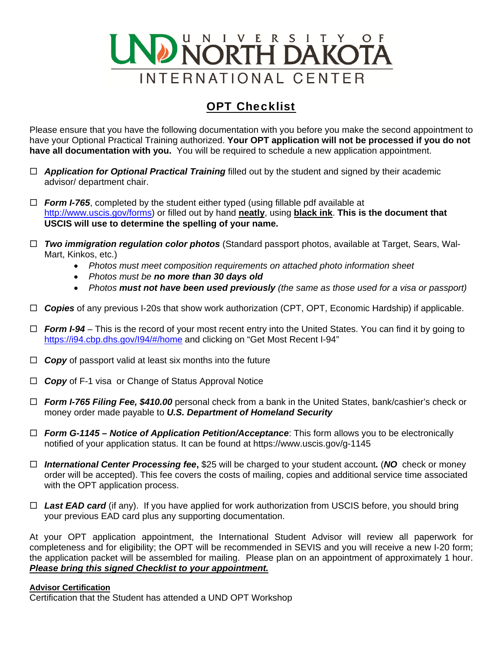

## OPT Checklist

Please ensure that you have the following documentation with you before you make the second appointment to have your Optional Practical Training authorized. **Your OPT application will not be processed if you do not have all documentation with you.** You will be required to schedule a new application appointment.

- *Application for Optional Practical Training* filled out by the student and signed by their academic advisor/ department chair.
- *Form I-765*, completed by the student either typed (using fillable pdf available at http://www.uscis.gov/forms) or filled out by hand **neatly**, using **black ink**. **This is the document that USCIS will use to determine the spelling of your name.**
- *Two immigration regulation color photos* (Standard passport photos, available at Target, Sears, Wal-Mart, Kinkos, etc.)
	- *Photos must meet composition requirements on attached photo information sheet*
	- *Photos must be no more than 30 days old*
	- *Photos must not have been used previously (the same as those used for a visa or passport)*
- *Copies* of any previous I-20s that show work authorization (CPT, OPT, Economic Hardship) if applicable.
- *Form I-94*  This is the record of your most recent entry into the United States. You can find it by going to https://i94.cbp.dhs.gov/I94/#/home and clicking on "Get Most Recent I-94"
- *Copy* of passport valid at least six months into the future
- *Copy* of F-1 visa or Change of Status Approval Notice
- *Form I-765 Filing Fee, \$410.00* personal check from a bank in the United States, bank/cashier's check or money order made payable to *U.S. Department of Homeland Security*
- *Form G-1145 Notice of Application Petition/Acceptance*: This form allows you to be electronically notified of your application status. It can be found at https://www.uscis.gov/g-1145
- *International Center Processing fee***,** \$25 will be charged to your student account*.* (*NO* check or money order will be accepted). This fee covers the costs of mailing, copies and additional service time associated with the OPT application process.
- □ Last EAD card (if any). If you have applied for work authorization from USCIS before, you should bring your previous EAD card plus any supporting documentation.

At your OPT application appointment, the International Student Advisor will review all paperwork for completeness and for eligibility; the OPT will be recommended in SEVIS and you will receive a new I-20 form; the application packet will be assembled for mailing. Please plan on an appointment of approximately 1 hour. *Please bring this signed Checklist to your appointment.*

## **Advisor Certification**

Certification that the Student has attended a UND OPT Workshop